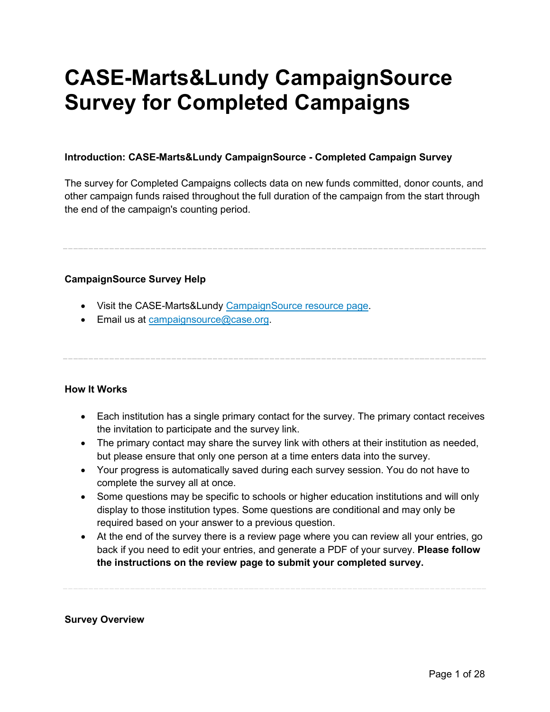# **CASE-Marts&Lundy CampaignSource Survey for Completed Campaigns**

#### **Introduction: CASE-Marts&Lundy CampaignSource - Completed Campaign Survey**

The survey for Completed Campaigns collects data on new funds committed, donor counts, and other campaign funds raised throughout the full duration of the campaign from the start through the end of the campaign's counting period.

#### **CampaignSource Survey Help**

- Visit the CASE-Marts&Lundy [CampaignSource resource page.](https://www.case.org/resources/case-martslundy-campaignsource)
- Email us at [campaignsource@case.org.](mailto:campaignsource@case.org?subject=CampaignSource%20Survey%20for%20Completed%20Campaigns)

#### **How It Works**

- Each institution has a single primary contact for the survey. The primary contact receives the invitation to participate and the survey link.
- The primary contact may share the survey link with others at their institution as needed, but please ensure that only one person at a time enters data into the survey.
- Your progress is automatically saved during each survey session. You do not have to complete the survey all at once.
- Some questions may be specific to schools or higher education institutions and will only display to those institution types. Some questions are conditional and may only be required based on your answer to a previous question.
- At the end of the survey there is a review page where you can review all your entries, go back if you need to edit your entries, and generate a PDF of your survey. **Please follow the instructions on the review page to submit your completed survey.**

#### **Survey Overview**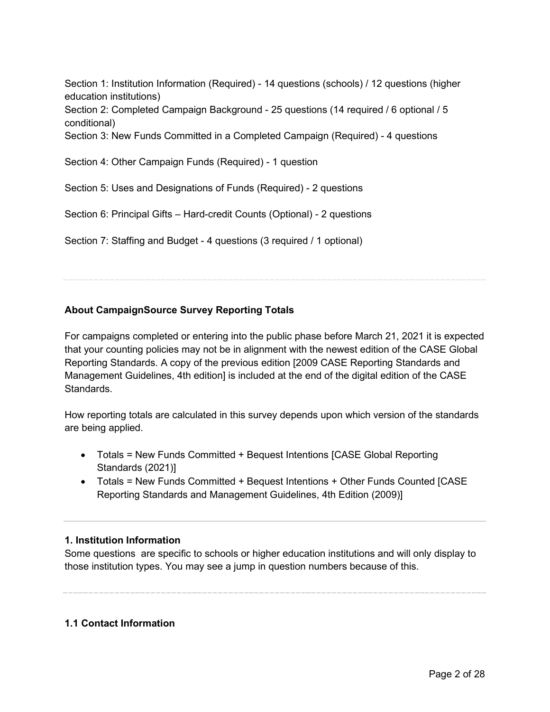Section 1: Institution Information (Required) - 14 questions (schools) / 12 questions (higher education institutions)

Section 2: Completed Campaign Background - 25 questions (14 required / 6 optional / 5 conditional)

Section 3: New Funds Committed in a Completed Campaign (Required) - 4 questions

Section 4: Other Campaign Funds (Required) - 1 question

Section 5: Uses and Designations of Funds (Required) - 2 questions

Section 6: Principal Gifts – Hard-credit Counts (Optional) - 2 questions

Section 7: Staffing and Budget - 4 questions (3 required / 1 optional)

#### **About CampaignSource Survey Reporting Totals**

For campaigns completed or entering into the public phase before March 21, 2021 it is expected that your counting policies may not be in alignment with the newest edition of the CASE Global Reporting Standards. A copy of the previous edition [2009 CASE Reporting Standards and Management Guidelines, 4th edition] is included at the end of the digital edition of the CASE Standards.

How reporting totals are calculated in this survey depends upon which version of the standards are being applied.

- Totals = New Funds Committed + Bequest Intentions [CASE Global Reporting Standards (2021)]
- Totals = New Funds Committed + Bequest Intentions + Other Funds Counted [CASE Reporting Standards and Management Guidelines, 4th Edition (2009)]

#### **1. Institution Information**

Some questions are specific to schools or higher education institutions and will only display to those institution types. You may see a jump in question numbers because of this.

#### **1.1 Contact Information**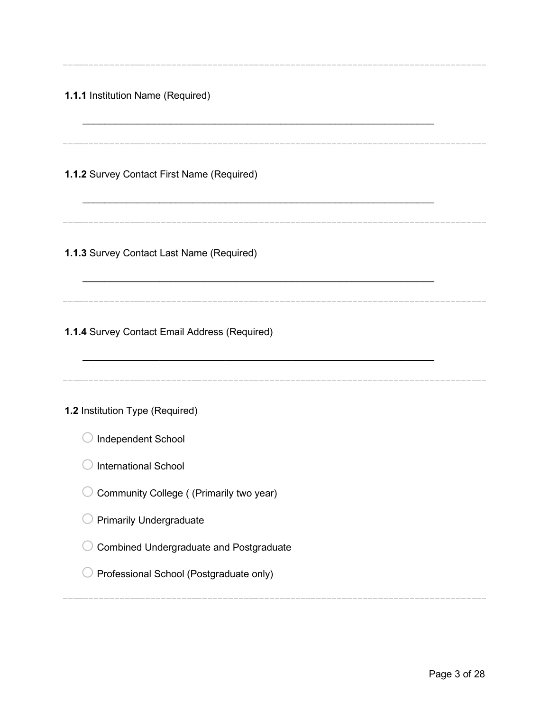| 1.1.1 Institution Name (Required)                                                                                                                                                                                                                       |  |
|---------------------------------------------------------------------------------------------------------------------------------------------------------------------------------------------------------------------------------------------------------|--|
| 1.1.2 Survey Contact First Name (Required)                                                                                                                                                                                                              |  |
| 1.1.3 Survey Contact Last Name (Required)                                                                                                                                                                                                               |  |
| 1.1.4 Survey Contact Email Address (Required)                                                                                                                                                                                                           |  |
| 1.2 Institution Type (Required)<br>Independent School<br>International School<br>Community College ((Primarily two year)<br><b>Primarily Undergraduate</b><br><b>Combined Undergraduate and Postgraduate</b><br>Professional School (Postgraduate only) |  |
|                                                                                                                                                                                                                                                         |  |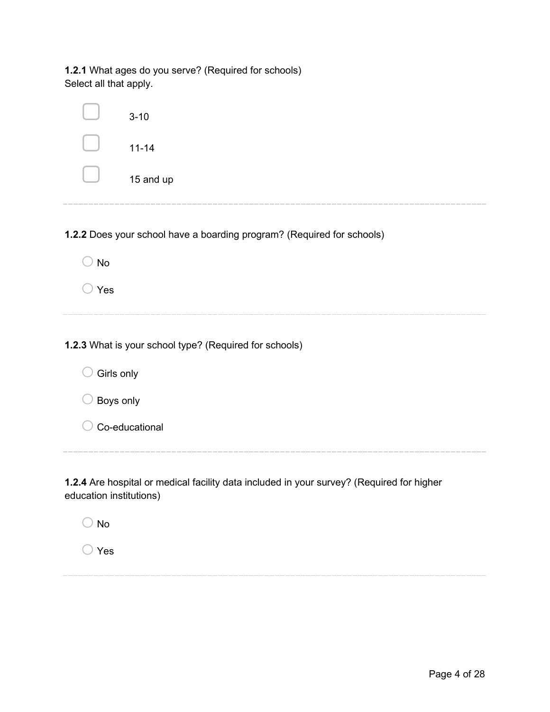**1.2.1** What ages do you serve? (Required for schools) Select all that apply.

|            | $3 - 10$                                                               |
|------------|------------------------------------------------------------------------|
|            | $11 - 14$                                                              |
|            | 15 and up                                                              |
|            | 1.2.2 Does your school have a boarding program? (Required for schools) |
| <b>No</b>  |                                                                        |
| Yes        |                                                                        |
|            |                                                                        |
|            | 1.2.3 What is your school type? (Required for schools)                 |
| Girls only |                                                                        |
| Boys only  |                                                                        |
|            | Co-educational                                                         |
|            |                                                                        |

**1.2.4** Are hospital or medical facility data included in your survey? (Required for higher education institutions)

 $\bigcirc$  No

o Yes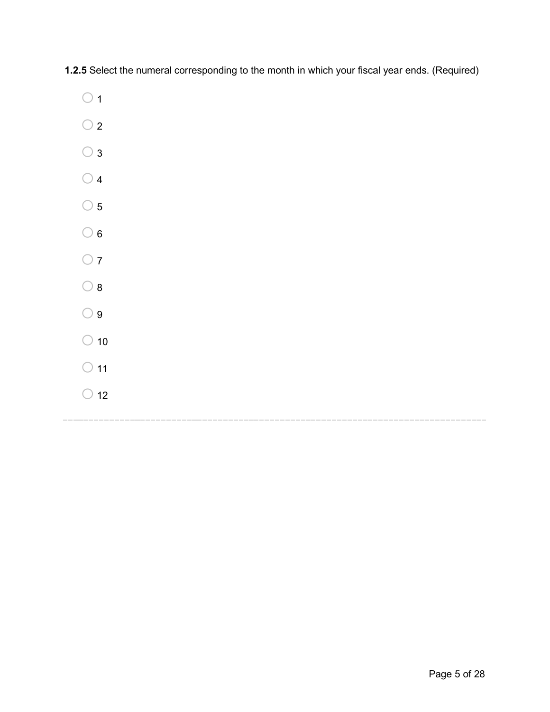**1.2.5** Select the numeral corresponding to the month in which your fiscal year ends. (Required)

- $\bigcirc$  1
- $\bigcirc$  2
- $\bigcirc$  3
- $\bigcirc$  4
- $\bigcirc$  5
- $\bigcirc$  6
- $\bigcirc$  7
- $\bigcirc$  8
- $\bigcirc$  9
- 
- $\bigcirc$  10
- $\bigcirc$  11
- $\bigcirc$  12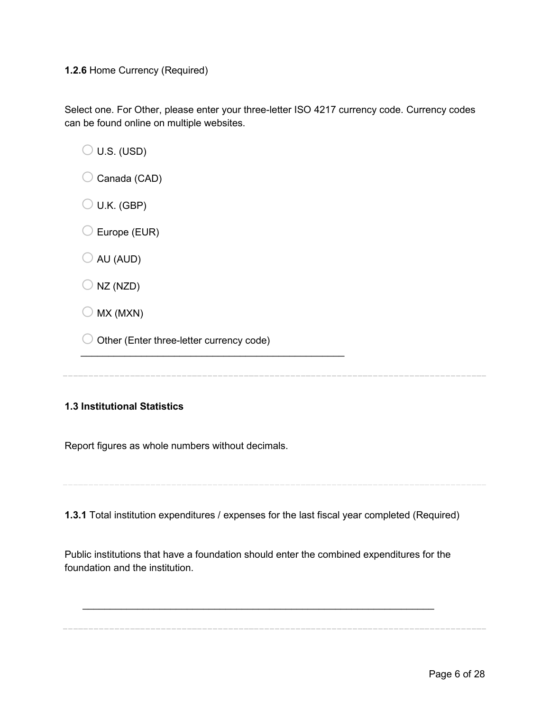#### **1.2.6** Home Currency (Required)

Select one. For Other, please enter your three-letter ISO 4217 currency code. Currency codes can be found online on multiple websites.

 $\bigcirc$  U.S. (USD)

- $\bigcirc$  Canada (CAD)
- $\bigcirc$  U.K. (GBP)
- $\bigcirc$  Europe (EUR)
- $\bigcirc$  AU (AUD)
- $\bigcirc$  NZ (NZD)
- $\bigcirc$  MX (MXN)
- $\bigcirc$  Other (Enter three-letter currency code)

 $\frac{1}{2}$  , and the set of the set of the set of the set of the set of the set of the set of the set of the set of the set of the set of the set of the set of the set of the set of the set of the set of the set of the set

#### **1.3 Institutional Statistics**

Report figures as whole numbers without decimals.

**1.3.1** Total institution expenditures / expenses for the last fiscal year completed (Required)

Public institutions that have a foundation should enter the combined expenditures for the foundation and the institution.

\_\_\_\_\_\_\_\_\_\_\_\_\_\_\_\_\_\_\_\_\_\_\_\_\_\_\_\_\_\_\_\_\_\_\_\_\_\_\_\_\_\_\_\_\_\_\_\_\_\_\_\_\_\_\_\_\_\_\_\_\_\_\_\_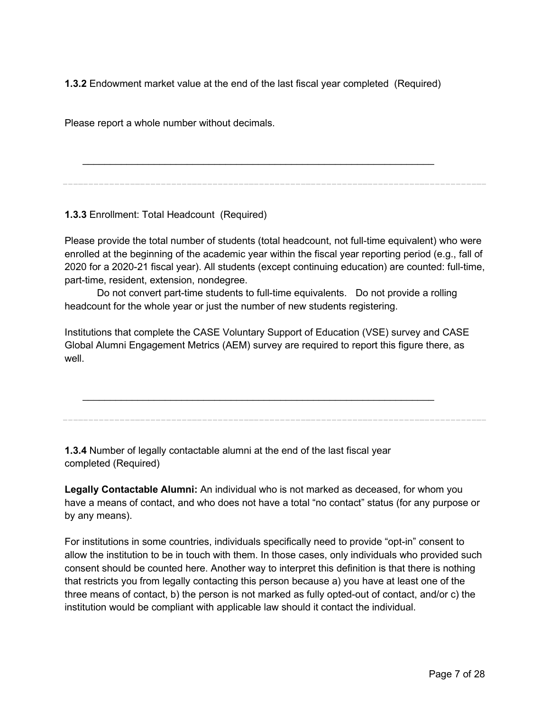**1.3.2** Endowment market value at the end of the last fiscal year completed (Required)

Please report a whole number without decimals.

\_\_\_\_\_\_\_\_\_\_\_\_\_\_\_\_\_\_\_\_\_\_\_\_\_\_\_\_\_\_\_\_\_\_\_\_\_\_\_\_\_\_\_\_\_\_\_\_\_\_\_\_\_\_\_\_\_\_\_\_\_\_\_\_

**1.3.3** Enrollment: Total Headcount (Required)

Please provide the total number of students (total headcount, not full-time equivalent) who were enrolled at the beginning of the academic year within the fiscal year reporting period (e.g., fall of 2020 for a 2020-21 fiscal year). All students (except continuing education) are counted: full-time, part-time, resident, extension, nondegree.

 Do not convert part-time students to full-time equivalents. Do not provide a rolling headcount for the whole year or just the number of new students registering.

Institutions that complete the CASE Voluntary Support of Education (VSE) survey and CASE Global Alumni Engagement Metrics (AEM) survey are required to report this figure there, as well.

\_\_\_\_\_\_\_\_\_\_\_\_\_\_\_\_\_\_\_\_\_\_\_\_\_\_\_\_\_\_\_\_\_\_\_\_\_\_\_\_\_\_\_\_\_\_\_\_\_\_\_\_\_\_\_\_\_\_\_\_\_\_\_\_

**1.3.4** Number of legally contactable alumni at the end of the last fiscal year completed (Required)

**Legally Contactable Alumni:** An individual who is not marked as deceased, for whom you have a means of contact, and who does not have a total "no contact" status (for any purpose or by any means).

For institutions in some countries, individuals specifically need to provide "opt-in" consent to allow the institution to be in touch with them. In those cases, only individuals who provided such consent should be counted here. Another way to interpret this definition is that there is nothing that restricts you from legally contacting this person because a) you have at least one of the three means of contact, b) the person is not marked as fully opted-out of contact, and/or c) the institution would be compliant with applicable law should it contact the individual.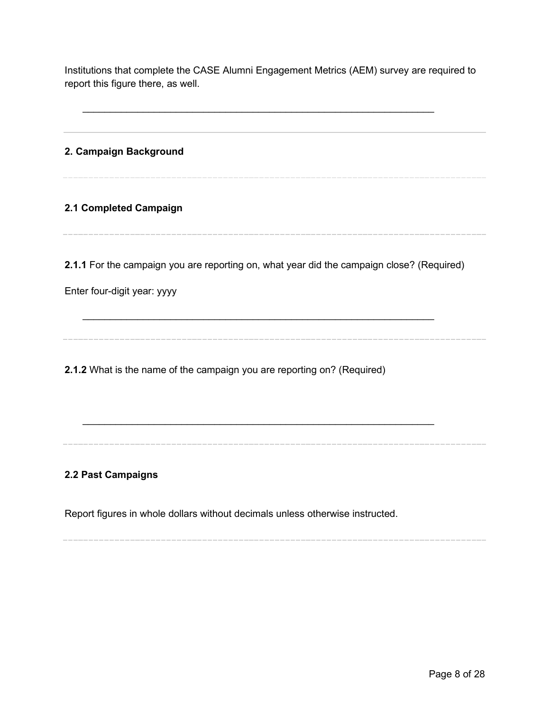Institutions that complete the CASE Alumni Engagement Metrics (AEM) survey are required to report this figure there, as well.

\_\_\_\_\_\_\_\_\_\_\_\_\_\_\_\_\_\_\_\_\_\_\_\_\_\_\_\_\_\_\_\_\_\_\_\_\_\_\_\_\_\_\_\_\_\_\_\_\_\_\_\_\_\_\_\_\_\_\_\_\_\_\_\_

**2. Campaign Background**

**2.1 Completed Campaign**

**2.1.1** For the campaign you are reporting on, what year did the campaign close? (Required)

\_\_\_\_\_\_\_\_\_\_\_\_\_\_\_\_\_\_\_\_\_\_\_\_\_\_\_\_\_\_\_\_\_\_\_\_\_\_\_\_\_\_\_\_\_\_\_\_\_\_\_\_\_\_\_\_\_\_\_\_\_\_\_\_

\_\_\_\_\_\_\_\_\_\_\_\_\_\_\_\_\_\_\_\_\_\_\_\_\_\_\_\_\_\_\_\_\_\_\_\_\_\_\_\_\_\_\_\_\_\_\_\_\_\_\_\_\_\_\_\_\_\_\_\_\_\_\_\_

Enter four-digit year: yyyy

**2.1.2** What is the name of the campaign you are reporting on? (Required)

#### **2.2 Past Campaigns**

Report figures in whole dollars without decimals unless otherwise instructed.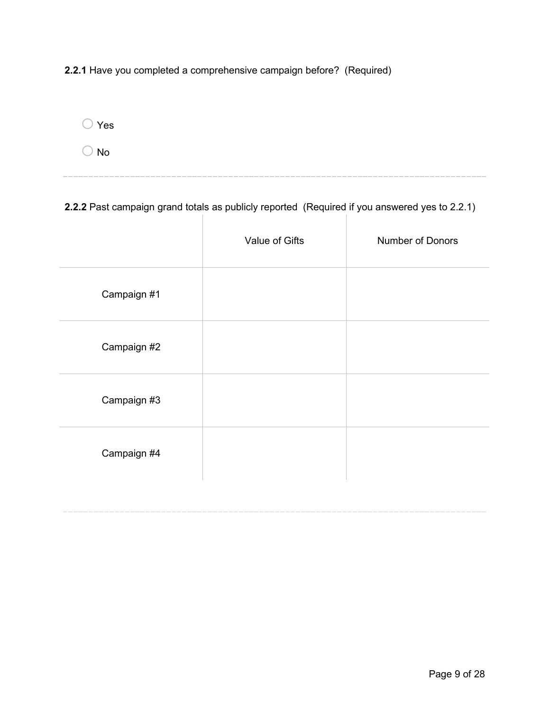**2.2.1** Have you completed a comprehensive campaign before? (Required)

 $\bigcirc$  Yes

 $\bigcirc$  No

**2.2.2** Past campaign grand totals as publicly reported (Required if you answered yes to 2.2.1)

|             | Value of Gifts | Number of Donors |
|-------------|----------------|------------------|
| Campaign #1 |                |                  |
| Campaign #2 |                |                  |
| Campaign #3 |                |                  |
| Campaign #4 |                |                  |
|             |                |                  |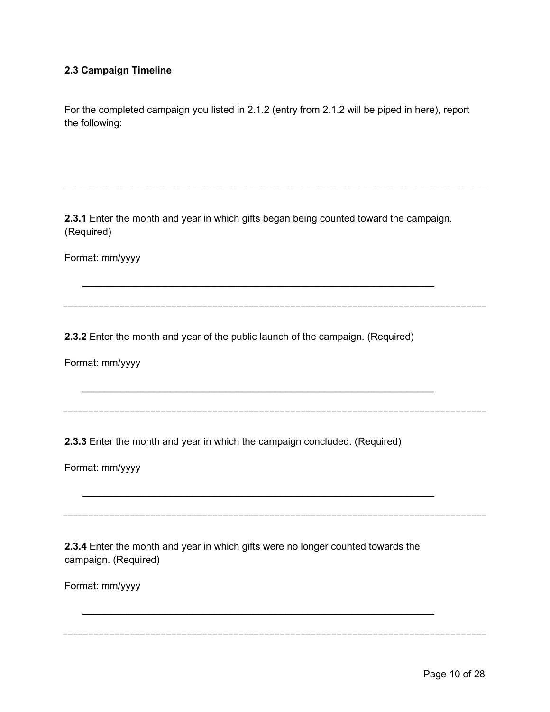#### **2.3 Campaign Timeline**

For the completed campaign you listed in 2.1.2 (entry from 2.1.2 will be piped in here), report the following:

**2.3.1** Enter the month and year in which gifts began being counted toward the campaign. (Required)

\_\_\_\_\_\_\_\_\_\_\_\_\_\_\_\_\_\_\_\_\_\_\_\_\_\_\_\_\_\_\_\_\_\_\_\_\_\_\_\_\_\_\_\_\_\_\_\_\_\_\_\_\_\_\_\_\_\_\_\_\_\_\_\_

\_\_\_\_\_\_\_\_\_\_\_\_\_\_\_\_\_\_\_\_\_\_\_\_\_\_\_\_\_\_\_\_\_\_\_\_\_\_\_\_\_\_\_\_\_\_\_\_\_\_\_\_\_\_\_\_\_\_\_\_\_\_\_\_

\_\_\_\_\_\_\_\_\_\_\_\_\_\_\_\_\_\_\_\_\_\_\_\_\_\_\_\_\_\_\_\_\_\_\_\_\_\_\_\_\_\_\_\_\_\_\_\_\_\_\_\_\_\_\_\_\_\_\_\_\_\_\_\_

\_\_\_\_\_\_\_\_\_\_\_\_\_\_\_\_\_\_\_\_\_\_\_\_\_\_\_\_\_\_\_\_\_\_\_\_\_\_\_\_\_\_\_\_\_\_\_\_\_\_\_\_\_\_\_\_\_\_\_\_\_\_\_\_

Format: mm/yyyy

**2.3.2** Enter the month and year of the public launch of the campaign. (Required)

Format: mm/yyyy

**2.3.3** Enter the month and year in which the campaign concluded. (Required)

Format: mm/yyyy

**2.3.4** Enter the month and year in which gifts were no longer counted towards the campaign. (Required)

Format: mm/yyyy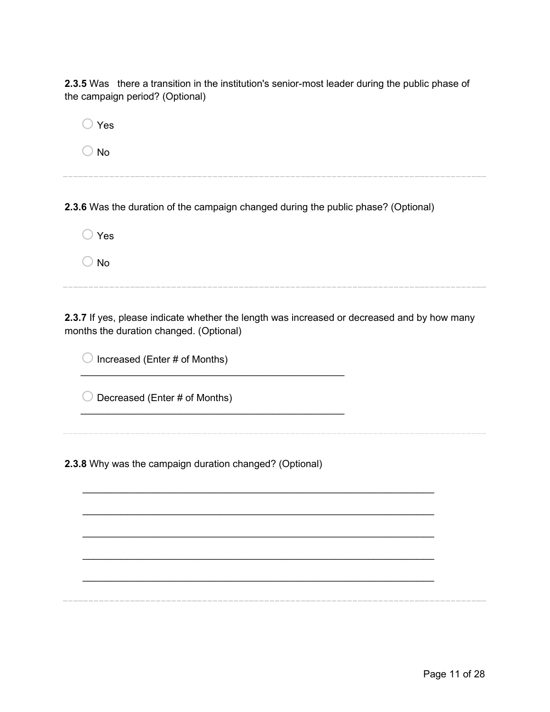**2.3.5** Was there a transition in the institution's senior-most leader during the public phase of the campaign period? (Optional)

 $\bigcirc$  Yes

 $\bigcirc$  No

**2.3.6** Was the duration of the campaign changed during the public phase? (Optional)

 $\bigcirc$  Yes

 $\bigcirc$  No

**2.3.7** If yes, please indicate whether the length was increased or decreased and by how many months the duration changed. (Optional)

\_\_\_\_\_\_\_\_\_\_\_\_\_\_\_\_\_\_\_\_\_\_\_\_\_\_\_\_\_\_\_\_\_\_\_\_\_\_\_\_\_\_\_\_\_\_\_\_\_\_\_\_\_\_\_\_\_\_\_\_\_\_\_\_

\_\_\_\_\_\_\_\_\_\_\_\_\_\_\_\_\_\_\_\_\_\_\_\_\_\_\_\_\_\_\_\_\_\_\_\_\_\_\_\_\_\_\_\_\_\_\_\_\_\_\_\_\_\_\_\_\_\_\_\_\_\_\_\_

\_\_\_\_\_\_\_\_\_\_\_\_\_\_\_\_\_\_\_\_\_\_\_\_\_\_\_\_\_\_\_\_\_\_\_\_\_\_\_\_\_\_\_\_\_\_\_\_\_\_\_\_\_\_\_\_\_\_\_\_\_\_\_\_

\_\_\_\_\_\_\_\_\_\_\_\_\_\_\_\_\_\_\_\_\_\_\_\_\_\_\_\_\_\_\_\_\_\_\_\_\_\_\_\_\_\_\_\_\_\_\_\_\_\_\_\_\_\_\_\_\_\_\_\_\_\_\_\_

\_\_\_\_\_\_\_\_\_\_\_\_\_\_\_\_\_\_\_\_\_\_\_\_\_\_\_\_\_\_\_\_\_\_\_\_\_\_\_\_\_\_\_\_\_\_\_\_\_\_\_\_\_\_\_\_\_\_\_\_\_\_\_\_

 $\bigcirc$  Increased (Enter # of Months)

 $\bigcirc$  Decreased (Enter # of Months)

**2.3.8** Why was the campaign duration changed? (Optional)

 $\frac{1}{2}$  , and the set of the set of the set of the set of the set of the set of the set of the set of the set of the set of the set of the set of the set of the set of the set of the set of the set of the set of the set

 $\frac{1}{2}$  , and the set of the set of the set of the set of the set of the set of the set of the set of the set of the set of the set of the set of the set of the set of the set of the set of the set of the set of the set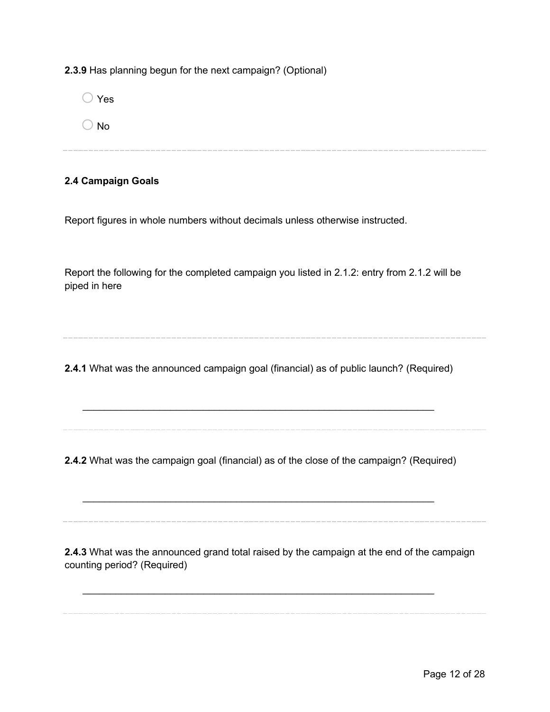**2.3.9** Has planning begun for the next campaign? (Optional)

| $\bigcirc$ Yes |  |  |  |
|----------------|--|--|--|
| $\bigcirc$ No  |  |  |  |
|                |  |  |  |

#### **2.4 Campaign Goals**

Report figures in whole numbers without decimals unless otherwise instructed.

Report the following for the completed campaign you listed in 2.1.2: entry from 2.1.2 will be piped in here

**2.4.1** What was the announced campaign goal (financial) as of public launch? (Required)

\_\_\_\_\_\_\_\_\_\_\_\_\_\_\_\_\_\_\_\_\_\_\_\_\_\_\_\_\_\_\_\_\_\_\_\_\_\_\_\_\_\_\_\_\_\_\_\_\_\_\_\_\_\_\_\_\_\_\_\_\_\_\_\_

**2.4.2** What was the campaign goal (financial) as of the close of the campaign? (Required)

\_\_\_\_\_\_\_\_\_\_\_\_\_\_\_\_\_\_\_\_\_\_\_\_\_\_\_\_\_\_\_\_\_\_\_\_\_\_\_\_\_\_\_\_\_\_\_\_\_\_\_\_\_\_\_\_\_\_\_\_\_\_\_\_

\_\_\_\_\_\_\_\_\_\_\_\_\_\_\_\_\_\_\_\_\_\_\_\_\_\_\_\_\_\_\_\_\_\_\_\_\_\_\_\_\_\_\_\_\_\_\_\_\_\_\_\_\_\_\_\_\_\_\_\_\_\_\_\_

**2.4.3** What was the announced grand total raised by the campaign at the end of the campaign counting period? (Required)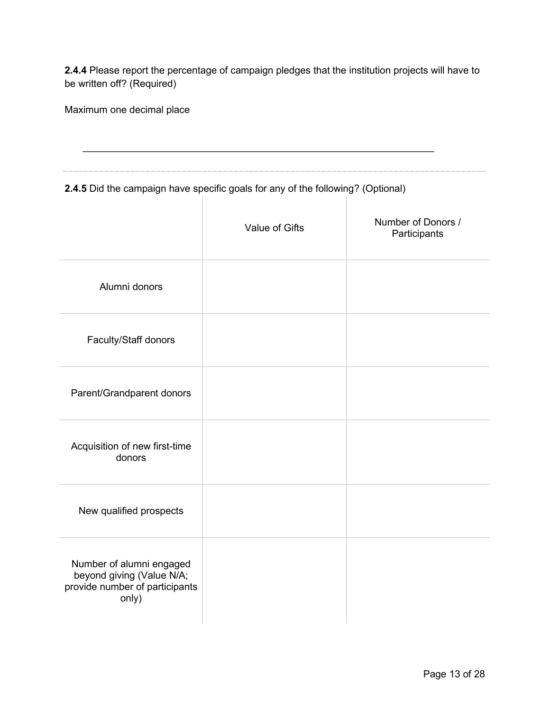**2.4.4** Please report the percentage of campaign pledges that the institution projects will have to be written off? (Required)

Maximum one decimal place

| 2.4.5 Did the campaign have specific goals for any of the following? (Optional)                  |                |                                    |
|--------------------------------------------------------------------------------------------------|----------------|------------------------------------|
|                                                                                                  | Value of Gifts | Number of Donors /<br>Participants |
| Alumni donors                                                                                    |                |                                    |
| Faculty/Staff donors                                                                             |                |                                    |
| Parent/Grandparent donors                                                                        |                |                                    |
| Acquisition of new first-time<br>donors                                                          |                |                                    |
| New qualified prospects                                                                          |                |                                    |
| Number of alumni engaged<br>beyond giving (Value N/A;<br>provide number of participants<br>only) |                |                                    |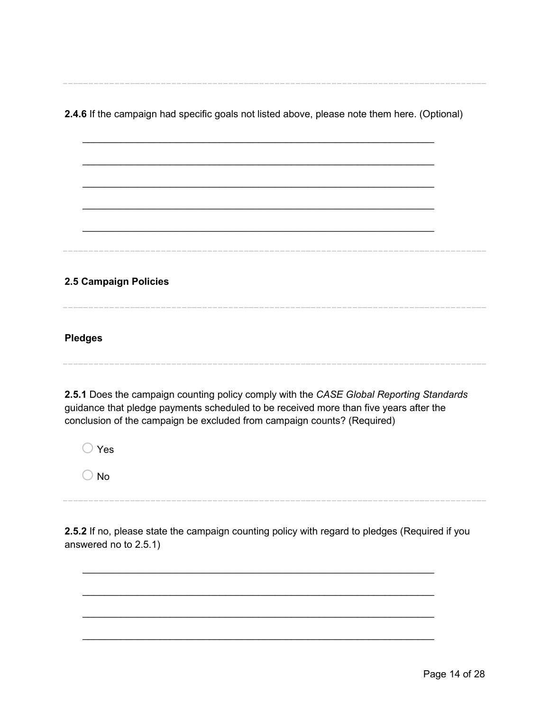**2.4.6** If the campaign had specific goals not listed above, please note them here. (Optional)

\_\_\_\_\_\_\_\_\_\_\_\_\_\_\_\_\_\_\_\_\_\_\_\_\_\_\_\_\_\_\_\_\_\_\_\_\_\_\_\_\_\_\_\_\_\_\_\_\_\_\_\_\_\_\_\_\_\_\_\_\_\_\_\_

\_\_\_\_\_\_\_\_\_\_\_\_\_\_\_\_\_\_\_\_\_\_\_\_\_\_\_\_\_\_\_\_\_\_\_\_\_\_\_\_\_\_\_\_\_\_\_\_\_\_\_\_\_\_\_\_\_\_\_\_\_\_\_\_

\_\_\_\_\_\_\_\_\_\_\_\_\_\_\_\_\_\_\_\_\_\_\_\_\_\_\_\_\_\_\_\_\_\_\_\_\_\_\_\_\_\_\_\_\_\_\_\_\_\_\_\_\_\_\_\_\_\_\_\_\_\_\_\_

\_\_\_\_\_\_\_\_\_\_\_\_\_\_\_\_\_\_\_\_\_\_\_\_\_\_\_\_\_\_\_\_\_\_\_\_\_\_\_\_\_\_\_\_\_\_\_\_\_\_\_\_\_\_\_\_\_\_\_\_\_\_\_\_

\_\_\_\_\_\_\_\_\_\_\_\_\_\_\_\_\_\_\_\_\_\_\_\_\_\_\_\_\_\_\_\_\_\_\_\_\_\_\_\_\_\_\_\_\_\_\_\_\_\_\_\_\_\_\_\_\_\_\_\_\_\_\_\_

**2.5 Campaign Policies**

**Pledges**

**2.5.1** Does the campaign counting policy comply with the *CASE Global Reporting Standards* guidance that pledge payments scheduled to be received more than five years after the conclusion of the campaign be excluded from campaign counts? (Required)

o Yes

 $\bigcirc$  No

**2.5.2** If no, please state the campaign counting policy with regard to pledges (Required if you answered no to 2.5.1)

\_\_\_\_\_\_\_\_\_\_\_\_\_\_\_\_\_\_\_\_\_\_\_\_\_\_\_\_\_\_\_\_\_\_\_\_\_\_\_\_\_\_\_\_\_\_\_\_\_\_\_\_\_\_\_\_\_\_\_\_\_\_\_\_

\_\_\_\_\_\_\_\_\_\_\_\_\_\_\_\_\_\_\_\_\_\_\_\_\_\_\_\_\_\_\_\_\_\_\_\_\_\_\_\_\_\_\_\_\_\_\_\_\_\_\_\_\_\_\_\_\_\_\_\_\_\_\_\_

\_\_\_\_\_\_\_\_\_\_\_\_\_\_\_\_\_\_\_\_\_\_\_\_\_\_\_\_\_\_\_\_\_\_\_\_\_\_\_\_\_\_\_\_\_\_\_\_\_\_\_\_\_\_\_\_\_\_\_\_\_\_\_\_

\_\_\_\_\_\_\_\_\_\_\_\_\_\_\_\_\_\_\_\_\_\_\_\_\_\_\_\_\_\_\_\_\_\_\_\_\_\_\_\_\_\_\_\_\_\_\_\_\_\_\_\_\_\_\_\_\_\_\_\_\_\_\_\_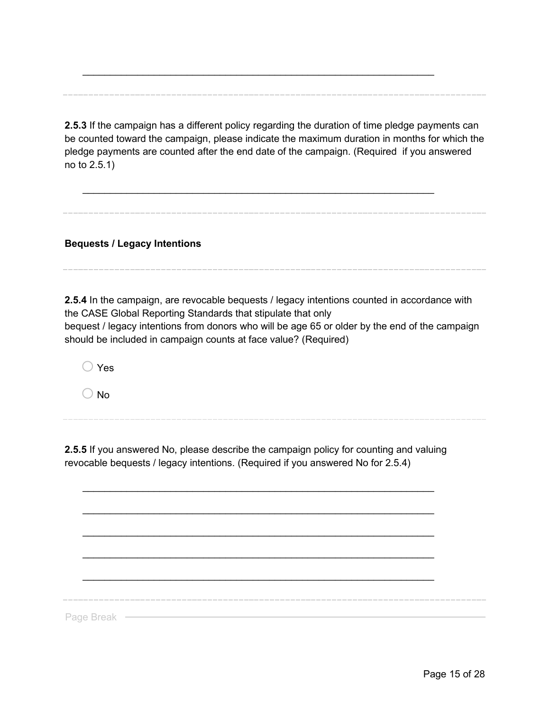**2.5.3** If the campaign has a different policy regarding the duration of time pledge payments can be counted toward the campaign, please indicate the maximum duration in months for which the pledge payments are counted after the end date of the campaign. (Required if you answered no to 2.5.1)

\_\_\_\_\_\_\_\_\_\_\_\_\_\_\_\_\_\_\_\_\_\_\_\_\_\_\_\_\_\_\_\_\_\_\_\_\_\_\_\_\_\_\_\_\_\_\_\_\_\_\_\_\_\_\_\_\_\_\_\_\_\_\_\_

\_\_\_\_\_\_\_\_\_\_\_\_\_\_\_\_\_\_\_\_\_\_\_\_\_\_\_\_\_\_\_\_\_\_\_\_\_\_\_\_\_\_\_\_\_\_\_\_\_\_\_\_\_\_\_\_\_\_\_\_\_\_\_\_

**Bequests / Legacy Intentions**

**2.5.4** In the campaign, are revocable bequests / legacy intentions counted in accordance with the CASE Global Reporting Standards that stipulate that only bequest / legacy intentions from donors who will be age 65 or older by the end of the campaign should be included in campaign counts at face value? (Required)

 $\bigcap$  Yes

 $\bigcirc$  No

**2.5.5** If you answered No, please describe the campaign policy for counting and valuing revocable bequests / legacy intentions. (Required if you answered No for 2.5.4)

\_\_\_\_\_\_\_\_\_\_\_\_\_\_\_\_\_\_\_\_\_\_\_\_\_\_\_\_\_\_\_\_\_\_\_\_\_\_\_\_\_\_\_\_\_\_\_\_\_\_\_\_\_\_\_\_\_\_\_\_\_\_\_\_

\_\_\_\_\_\_\_\_\_\_\_\_\_\_\_\_\_\_\_\_\_\_\_\_\_\_\_\_\_\_\_\_\_\_\_\_\_\_\_\_\_\_\_\_\_\_\_\_\_\_\_\_\_\_\_\_\_\_\_\_\_\_\_\_

\_\_\_\_\_\_\_\_\_\_\_\_\_\_\_\_\_\_\_\_\_\_\_\_\_\_\_\_\_\_\_\_\_\_\_\_\_\_\_\_\_\_\_\_\_\_\_\_\_\_\_\_\_\_\_\_\_\_\_\_\_\_\_\_

\_\_\_\_\_\_\_\_\_\_\_\_\_\_\_\_\_\_\_\_\_\_\_\_\_\_\_\_\_\_\_\_\_\_\_\_\_\_\_\_\_\_\_\_\_\_\_\_\_\_\_\_\_\_\_\_\_\_\_\_\_\_\_\_

\_\_\_\_\_\_\_\_\_\_\_\_\_\_\_\_\_\_\_\_\_\_\_\_\_\_\_\_\_\_\_\_\_\_\_\_\_\_\_\_\_\_\_\_\_\_\_\_\_\_\_\_\_\_\_\_\_\_\_\_\_\_\_\_

Page Break -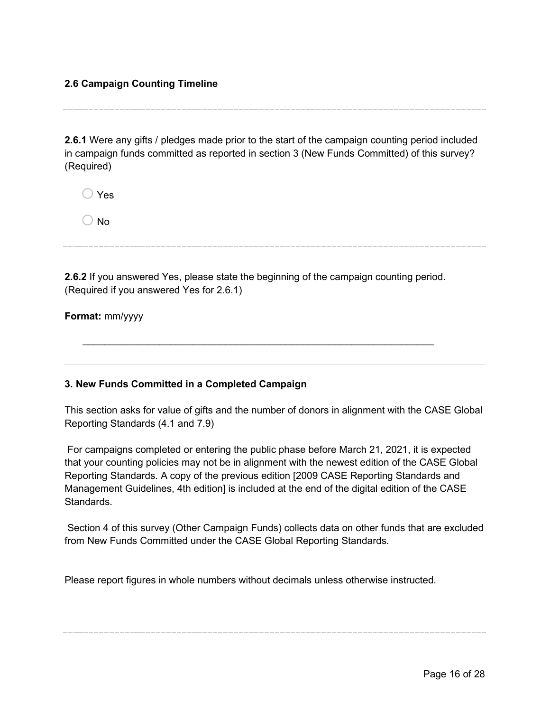#### **2.6 Campaign Counting Timeline**

**2.6.1** Were any gifts / pledges made prior to the start of the campaign counting period included in campaign funds committed as reported in section 3 (New Funds Committed) of this survey? (Required)

| $\bigcirc$ Yes |  |
|----------------|--|
| $\bigcirc$ No  |  |

**2.6.2** If you answered Yes, please state the beginning of the campaign counting period. (Required if you answered Yes for 2.6.1)

\_\_\_\_\_\_\_\_\_\_\_\_\_\_\_\_\_\_\_\_\_\_\_\_\_\_\_\_\_\_\_\_\_\_\_\_\_\_\_\_\_\_\_\_\_\_\_\_\_\_\_\_\_\_\_\_\_\_\_\_\_\_\_\_

**Format:** mm/yyyy

#### **3. New Funds Committed in a Completed Campaign**

This section asks for value of gifts and the number of donors in alignment with the CASE Global Reporting Standards (4.1 and 7.9)

For campaigns completed or entering the public phase before March 21, 2021, it is expected that your counting policies may not be in alignment with the newest edition of the CASE Global Reporting Standards. A copy of the previous edition [2009 CASE Reporting Standards and Management Guidelines, 4th edition] is included at the end of the digital edition of the CASE **Standards** 

Section 4 of this survey (Other Campaign Funds) collects data on other funds that are excluded from New Funds Committed under the CASE Global Reporting Standards.

Please report figures in whole numbers without decimals unless otherwise instructed.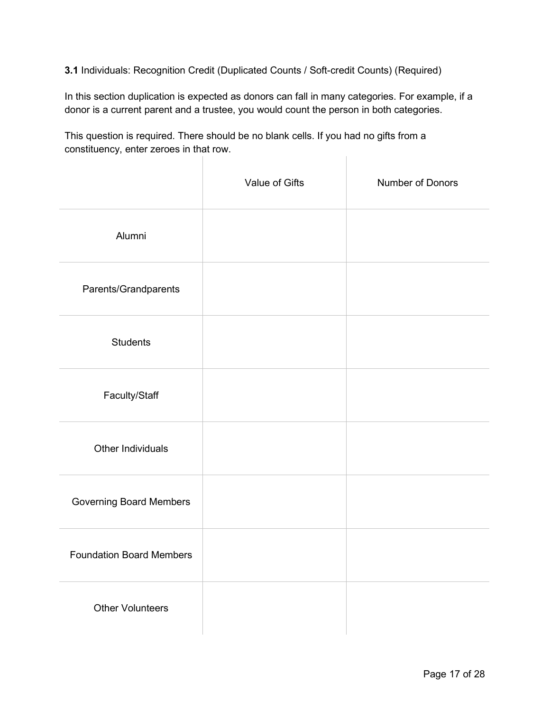**3.1** Individuals: Recognition Credit (Duplicated Counts / Soft-credit Counts) (Required)

In this section duplication is expected as donors can fall in many categories. For example, if a donor is a current parent and a trustee, you would count the person in both categories.

This question is required. There should be no blank cells. If you had no gifts from a constituency, enter zeroes in that row.  $\begin{array}{c} \hline \end{array}$ 

|                                 | Value of Gifts | Number of Donors |
|---------------------------------|----------------|------------------|
| Alumni                          |                |                  |
| Parents/Grandparents            |                |                  |
| <b>Students</b>                 |                |                  |
| Faculty/Staff                   |                |                  |
| <b>Other Individuals</b>        |                |                  |
| <b>Governing Board Members</b>  |                |                  |
| <b>Foundation Board Members</b> |                |                  |
| <b>Other Volunteers</b>         |                |                  |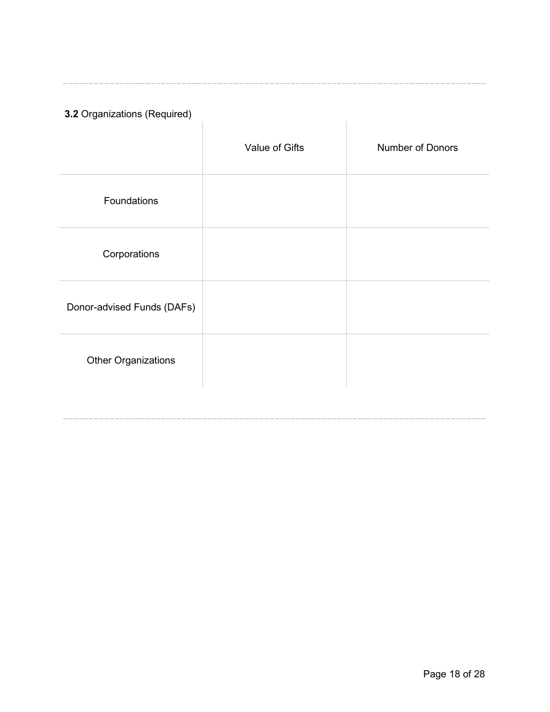**3.2** Organizations (Required)

J.

|                            | Value of Gifts | <b>Number of Donors</b> |
|----------------------------|----------------|-------------------------|
| Foundations                |                |                         |
| Corporations               |                |                         |
| Donor-advised Funds (DAFs) |                |                         |
| <b>Other Organizations</b> |                |                         |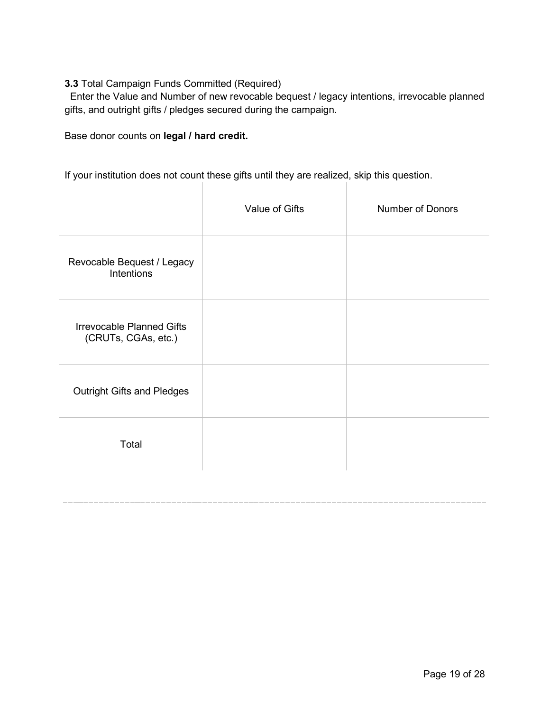#### **3.3** Total Campaign Funds Committed (Required)

Enter the Value and Number of new revocable bequest / legacy intentions, irrevocable planned gifts, and outright gifts / pledges secured during the campaign.

Base donor counts on **legal / hard credit.**

If your institution does not count these gifts until they are realized, skip this question.

|                                                         | Value of Gifts | <b>Number of Donors</b> |
|---------------------------------------------------------|----------------|-------------------------|
| Revocable Bequest / Legacy<br><b>Intentions</b>         |                |                         |
| <b>Irrevocable Planned Gifts</b><br>(CRUTs, CGAs, etc.) |                |                         |
| <b>Outright Gifts and Pledges</b>                       |                |                         |
| Total                                                   |                |                         |
|                                                         |                |                         |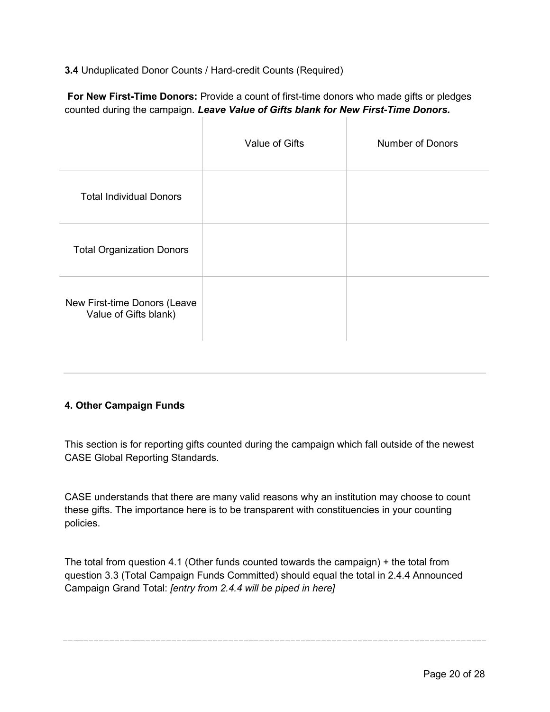**3.4** Unduplicated Donor Counts / Hard-credit Counts (Required)

**For New First-Time Donors:** Provide a count of first-time donors who made gifts or pledges counted during the campaign. *Leave Value of Gifts blank for New First-Time Donors.*

|                                                       | Value of Gifts | <b>Number of Donors</b> |
|-------------------------------------------------------|----------------|-------------------------|
| <b>Total Individual Donors</b>                        |                |                         |
| <b>Total Organization Donors</b>                      |                |                         |
| New First-time Donors (Leave<br>Value of Gifts blank) |                |                         |

#### **4. Other Campaign Funds**

This section is for reporting gifts counted during the campaign which fall outside of the newest CASE Global Reporting Standards.

CASE understands that there are many valid reasons why an institution may choose to count these gifts. The importance here is to be transparent with constituencies in your counting policies.

The total from question 4.1 (Other funds counted towards the campaign) + the total from question 3.3 (Total Campaign Funds Committed) should equal the total in 2.4.4 Announced Campaign Grand Total: *[entry from 2.4.4 will be piped in here]*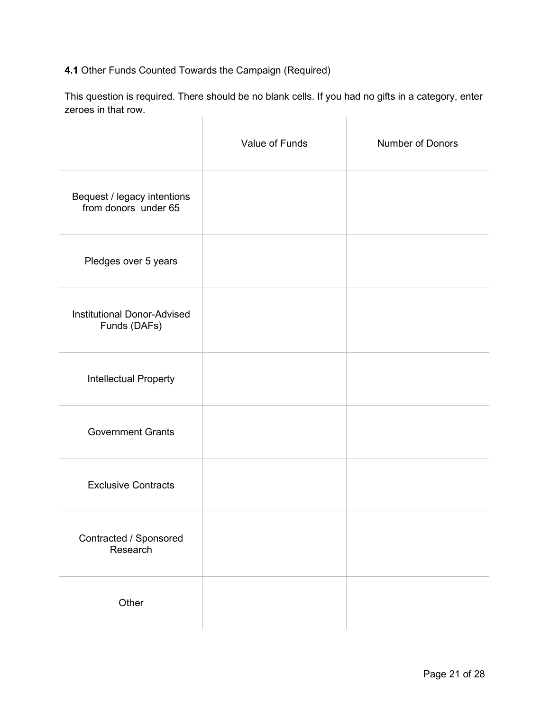### **4.1** Other Funds Counted Towards the Campaign (Required)

This question is required. There should be no blank cells. If you had no gifts in a category, enter zeroes in that row.  $\mathbb{R}$  $\overline{1}$ 

|                                                     | Value of Funds | <b>Number of Donors</b> |
|-----------------------------------------------------|----------------|-------------------------|
| Bequest / legacy intentions<br>from donors under 65 |                |                         |
| Pledges over 5 years                                |                |                         |
| <b>Institutional Donor-Advised</b><br>Funds (DAFs)  |                |                         |
| Intellectual Property                               |                |                         |
| <b>Government Grants</b>                            |                |                         |
| <b>Exclusive Contracts</b>                          |                |                         |
| Contracted / Sponsored<br>Research                  |                |                         |
| Other                                               |                |                         |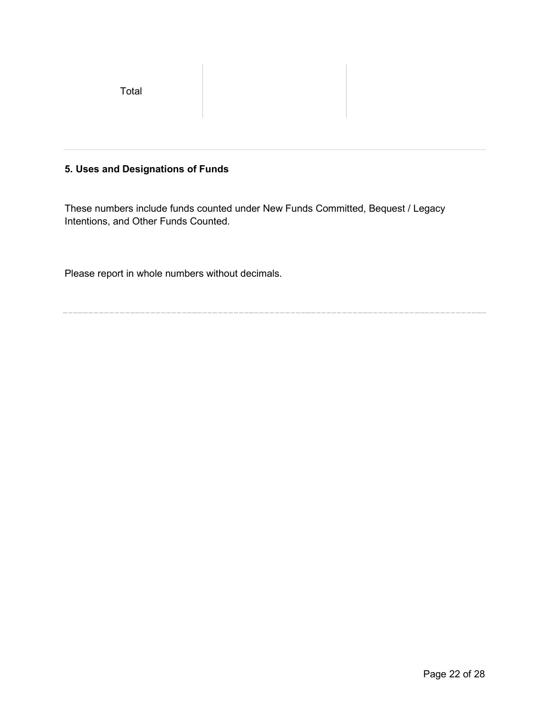Total

#### **5. Uses and Designations of Funds**

These numbers include funds counted under New Funds Committed, Bequest / Legacy Intentions, and Other Funds Counted.

Please report in whole numbers without decimals.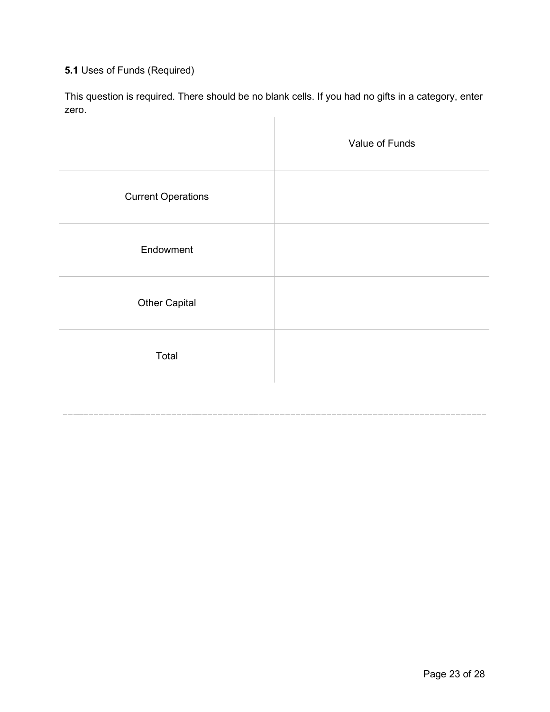### **5.1** Uses of Funds (Required)

This question is required. There should be no blank cells. If you had no gifts in a category, enter zero.  $\mathbf{L}$ 

|                           | Value of Funds |
|---------------------------|----------------|
| <b>Current Operations</b> |                |
| Endowment                 |                |
| <b>Other Capital</b>      |                |
| Total                     |                |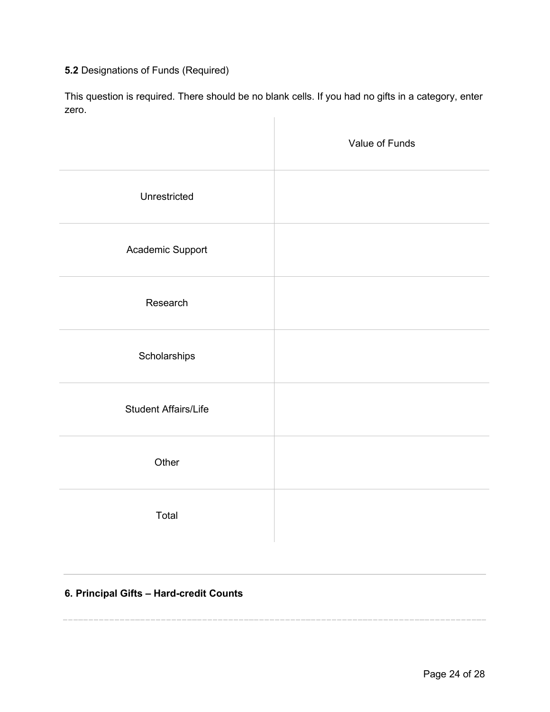### **5.2** Designations of Funds (Required)

This question is required. There should be no blank cells. If you had no gifts in a category, enter zero.  $\overline{1}$ 

|                             | Value of Funds |
|-----------------------------|----------------|
| Unrestricted                |                |
| Academic Support            |                |
| Research                    |                |
| Scholarships                |                |
| <b>Student Affairs/Life</b> |                |
| Other                       |                |
| Total                       |                |

### **6. Principal Gifts – Hard-credit Counts**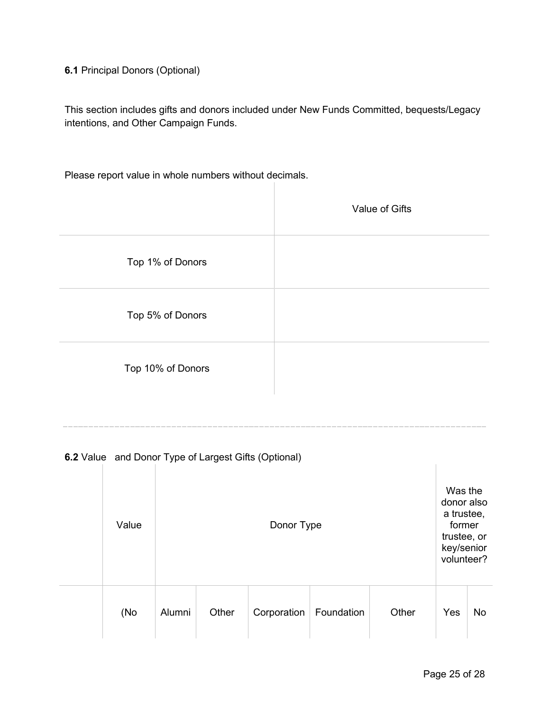**6.1** Principal Donors (Optional)

This section includes gifts and donors included under New Funds Committed, bequests/Legacy intentions, and Other Campaign Funds.

Please report value in whole numbers without decimals.

|                   | Value of Gifts |
|-------------------|----------------|
| Top 1% of Donors  |                |
| Top 5% of Donors  |                |
| Top 10% of Donors |                |

**6.2** Value and Donor Type of Largest Gifts (Optional)

| Value | Donor Type |       |             |            |       | Was the<br>donor also<br>a trustee,<br>former<br>trustee, or<br>key/senior<br>volunteer? |           |
|-------|------------|-------|-------------|------------|-------|------------------------------------------------------------------------------------------|-----------|
| (No   | Alumni     | Other | Corporation | Foundation | Other | Yes                                                                                      | <b>No</b> |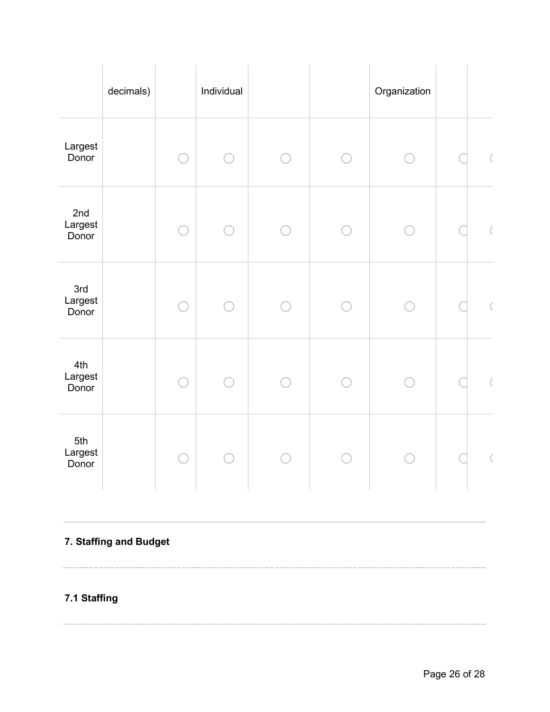|                                     | decimals) | Individual |  | Organization |  |
|-------------------------------------|-----------|------------|--|--------------|--|
| Largest<br>Donor                    |           |            |  |              |  |
| 2 <sub>nd</sub><br>Largest<br>Donor |           |            |  |              |  |
| 3rd<br>Largest<br>Donor             |           |            |  |              |  |
| 4th<br>Largest<br>Donor             |           |            |  |              |  |
| 5th<br>Largest<br>Donor             |           |            |  |              |  |

# **7. Staffing and Budget**

# **7.1 Staffing**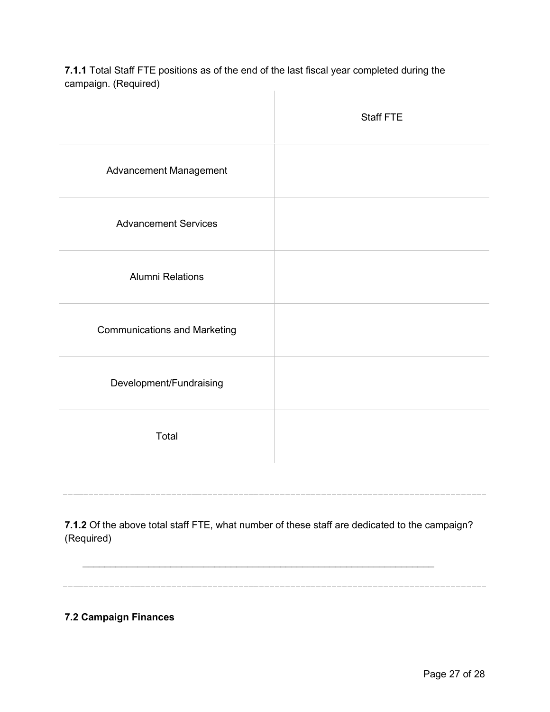**7.1.1** Total Staff FTE positions as of the end of the last fiscal year completed during the campaign. (Required)  $\|$ 

|                                     | <b>Staff FTE</b> |
|-------------------------------------|------------------|
| Advancement Management              |                  |
| <b>Advancement Services</b>         |                  |
| <b>Alumni Relations</b>             |                  |
| <b>Communications and Marketing</b> |                  |
| Development/Fundraising             |                  |
| Total                               |                  |
|                                     |                  |

**7.1.2** Of the above total staff FTE, what number of these staff are dedicated to the campaign? (Required)

\_\_\_\_\_\_\_\_\_\_\_\_\_\_\_\_\_\_\_\_\_\_\_\_\_\_\_\_\_\_\_\_\_\_\_\_\_\_\_\_\_\_\_\_\_\_\_\_\_\_\_\_\_\_\_\_\_\_\_\_\_\_\_\_

**7.2 Campaign Finances**